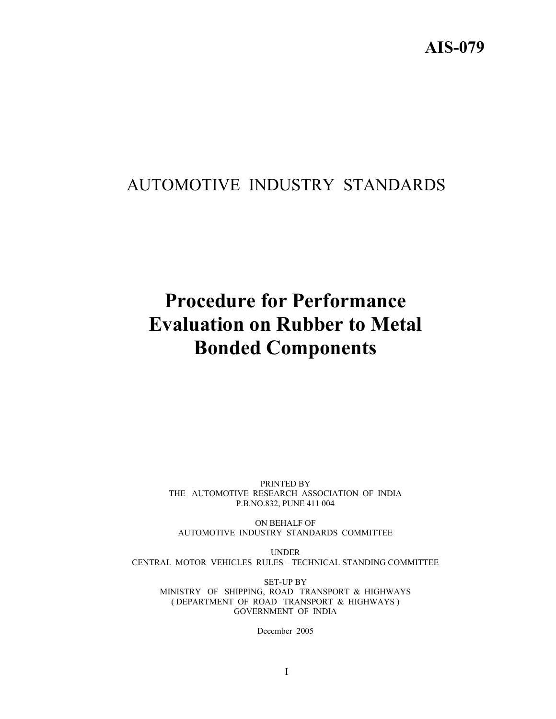## AUTOMOTIVE INDUSTRY STANDARDS

# **Procedure for Performance Evaluation on Rubber to Metal Bonded Components**

PRINTED BY THE AUTOMOTIVE RESEARCH ASSOCIATION OF INDIA P.B.NO.832, PUNE 411 004

ON BEHALF OF AUTOMOTIVE INDUSTRY STANDARDS COMMITTEE

UNDER CENTRAL MOTOR VEHICLES RULES – TECHNICAL STANDING COMMITTEE

SET-UP BY MINISTRY OF SHIPPING, ROAD TRANSPORT & HIGHWAYS ( DEPARTMENT OF ROAD TRANSPORT & HIGHWAYS ) GOVERNMENT OF INDIA

December 2005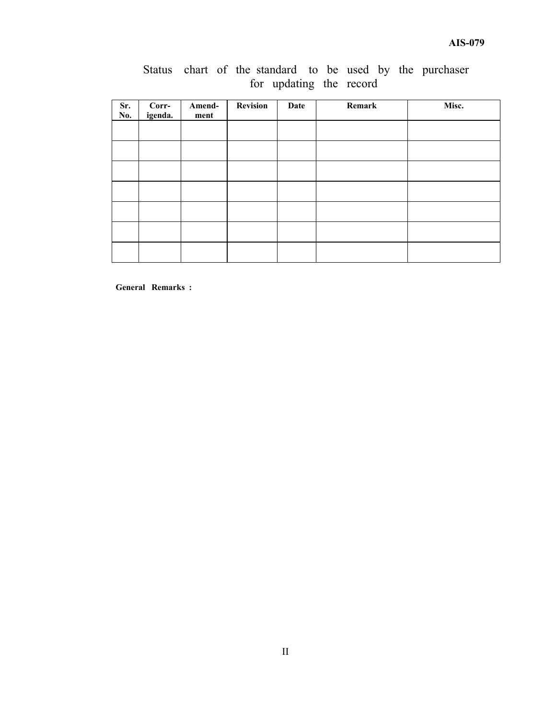|  |  |                         |  |  |  | Status chart of the standard to be used by the purchaser |
|--|--|-------------------------|--|--|--|----------------------------------------------------------|
|  |  | for updating the record |  |  |  |                                                          |

| Sr.<br>No. | Corr-<br>igenda. | Amend-<br>ment | <b>Revision</b> | Date | Remark | Misc. |
|------------|------------------|----------------|-----------------|------|--------|-------|
|            |                  |                |                 |      |        |       |
|            |                  |                |                 |      |        |       |
|            |                  |                |                 |      |        |       |
|            |                  |                |                 |      |        |       |
|            |                  |                |                 |      |        |       |
|            |                  |                |                 |      |        |       |
|            |                  |                |                 |      |        |       |

**General Remarks :**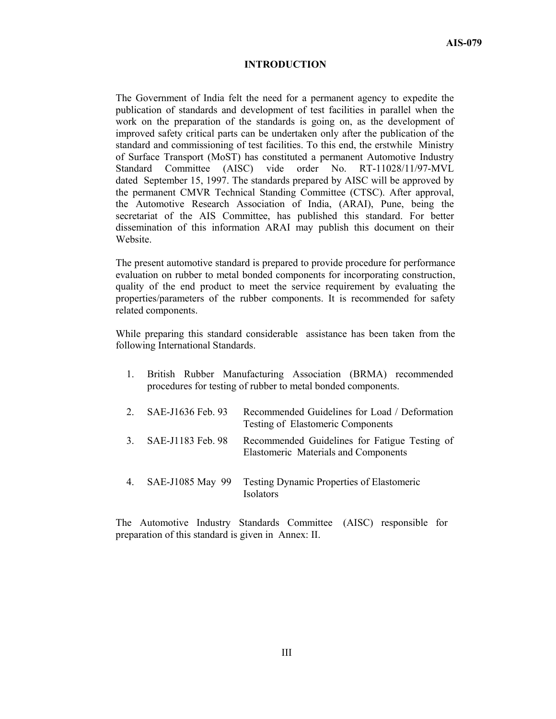#### **INTRODUCTION**

The Government of India felt the need for a permanent agency to expedite the publication of standards and development of test facilities in parallel when the work on the preparation of the standards is going on, as the development of improved safety critical parts can be undertaken only after the publication of the standard and commissioning of test facilities. To this end, the erstwhile Ministry of Surface Transport (MoST) has constituted a permanent Automotive Industry Standard Committee (AISC) vide order No. RT-11028/11/97-MVL dated September 15, 1997. The standards prepared by AISC will be approved by the permanent CMVR Technical Standing Committee (CTSC). After approval, the Automotive Research Association of India, (ARAI), Pune, being the secretariat of the AIS Committee, has published this standard. For better dissemination of this information ARAI may publish this document on their Website.

The present automotive standard is prepared to provide procedure for performance evaluation on rubber to metal bonded components for incorporating construction, quality of the end product to meet the service requirement by evaluating the properties/parameters of the rubber components. It is recommended for safety related components.

While preparing this standard considerable assistance has been taken from the following International Standards.

|               |                   | British Rubber Manufacturing Association (BRMA) recommended<br>procedures for testing of rubber to metal bonded components. |
|---------------|-------------------|-----------------------------------------------------------------------------------------------------------------------------|
|               | SAE-J1636 Feb. 93 | Recommended Guidelines for Load / Deformation<br><b>Testing of Elastomeric Components</b>                                   |
| $\mathcal{E}$ | SAE-J1183 Feb. 98 | Recommended Guidelines for Fatigue Testing of<br><b>Elastomeric Materials and Components</b>                                |
| 4.            | SAE-J1085 May 99  | Testing Dynamic Properties of Elastomeric<br>Isolators                                                                      |

The Automotive Industry Standards Committee (AISC) responsible for preparation of this standard is given in Annex: II.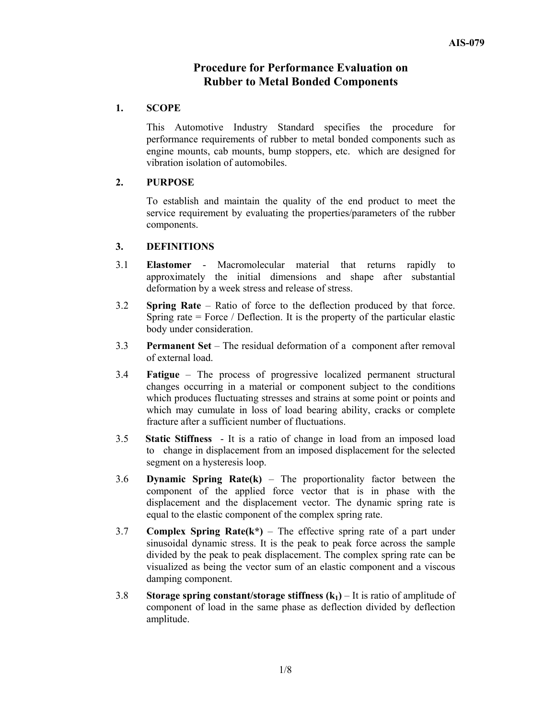## **Procedure for Performance Evaluation on Rubber to Metal Bonded Components**

## **1. SCOPE**

This Automotive Industry Standard specifies the procedure for performance requirements of rubber to metal bonded components such as engine mounts, cab mounts, bump stoppers, etc. which are designed for vibration isolation of automobiles.

## **2. PURPOSE**

To establish and maintain the quality of the end product to meet the service requirement by evaluating the properties/parameters of the rubber components.

## **3. DEFINITIONS**

- 3.1 **Elastomer** Macromolecular material that returns rapidly to approximately the initial dimensions and shape after substantial deformation by a week stress and release of stress.
- 3.2 **Spring Rate** Ratio of force to the deflection produced by that force. Spring rate  $=$  Force / Deflection. It is the property of the particular elastic body under consideration.
- 3.3 **Permanent Set** The residual deformation of a component after removal of external load.
- 3.4 **Fatigue** The process of progressive localized permanent structural changes occurring in a material or component subject to the conditions which produces fluctuating stresses and strains at some point or points and which may cumulate in loss of load bearing ability, cracks or complete fracture after a sufficient number of fluctuations.
- 3.5 **Static Stiffness** It is a ratio of change in load from an imposed load to change in displacement from an imposed displacement for the selected segment on a hysteresis loop.
- 3.6 **Dynamic Spring Rate(k)** The proportionality factor between the component of the applied force vector that is in phase with the displacement and the displacement vector. The dynamic spring rate is equal to the elastic component of the complex spring rate.
- 3.7 **Complex Spring Rate(k\*)** The effective spring rate of a part under sinusoidal dynamic stress. It is the peak to peak force across the sample divided by the peak to peak displacement. The complex spring rate can be visualized as being the vector sum of an elastic component and a viscous damping component.
- 3.8 **Storage spring constant/storage stiffness**  $(k_1)$  **It is ratio of amplitude of** component of load in the same phase as deflection divided by deflection amplitude.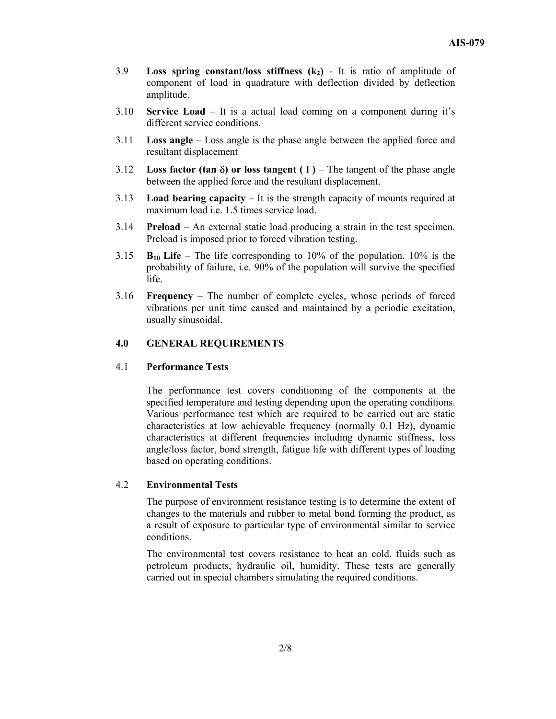- 3.9 **Loss spring constant/loss stiffness**  $(k_2)$  It is ratio of amplitude of component of load in quadrature with deflection divided by deflection amplitude.
- 3.10 **Service Load** It is a actual load coming on a component during it's different service conditions.
- 3.11 **Loss angle** Loss angle is the phase angle between the applied force and resultant displacement
- 3.12 **Loss factor (tan** δ**) or loss tangent ( l )** The tangent of the phase angle between the applied force and the resultant displacement.
- 3.13 **Load bearing capacity** It is the strength capacity of mounts required at maximum load i.e. 1.5 times service load.
- 3.14 **Preload** An external static load producing a strain in the test specimen. Preload is imposed prior to forced vibration testing.
- 3.15 **B<sub>10</sub>** Life The life corresponding to 10% of the population. 10% is the probability of failure, i.e. 90% of the population will survive the specified life.
- 3.16 **Frequency** The number of complete cycles, whose periods of forced vibrations per unit time caused and maintained by a periodic excitation, usually sinusoidal.

## **4.0 GENERAL REQUIREMENTS**

## 4.1 **Performance Tests**

The performance test covers conditioning of the components at the specified temperature and testing depending upon the operating conditions. Various performance test which are required to be carried out are static characteristics at low achievable frequency (normally 0.1 Hz), dynamic characteristics at different frequencies including dynamic stiffness, loss angle/loss factor, bond strength, fatigue life with different types of loading based on operating conditions.

## 4.2 **Environmental Tests**

The purpose of environment resistance testing is to determine the extent of changes to the materials and rubber to metal bond forming the product, as a result of exposure to particular type of environmental similar to service conditions.

The environmental test covers resistance to heat an cold, fluids such as petroleum products, hydraulic oil, humidity. These tests are generally carried out in special chambers simulating the required conditions.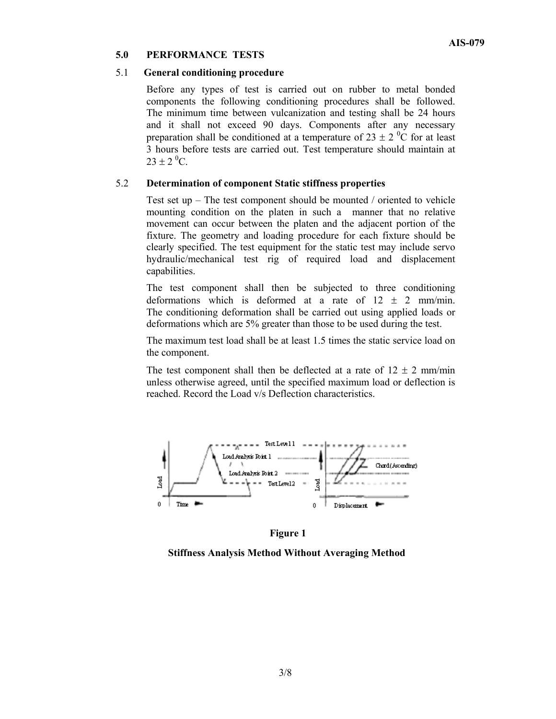## **5.0 PERFORMANCE TESTS**

## 5.1 **General conditioning procedure**

Before any types of test is carried out on rubber to metal bonded components the following conditioning procedures shall be followed. The minimum time between vulcanization and testing shall be 24 hours and it shall not exceed 90 days. Components after any necessary preparation shall be conditioned at a temperature of 23  $\pm$  2 <sup>0</sup>C for at least 3 hours before tests are carried out. Test temperature should maintain at  $23 \pm 2$  <sup>0</sup>C.

### 5.2 **Determination of component Static stiffness properties**

Test set up – The test component should be mounted / oriented to vehicle mounting condition on the platen in such a manner that no relative movement can occur between the platen and the adjacent portion of the fixture. The geometry and loading procedure for each fixture should be clearly specified. The test equipment for the static test may include servo hydraulic/mechanical test rig of required load and displacement capabilities.

The test component shall then be subjected to three conditioning deformations which is deformed at a rate of  $12 \pm 2$  mm/min. The conditioning deformation shall be carried out using applied loads or deformations which are 5% greater than those to be used during the test.

The maximum test load shall be at least 1.5 times the static service load on the component.

The test component shall then be deflected at a rate of  $12 \pm 2$  mm/min unless otherwise agreed, until the specified maximum load or deflection is reached. Record the Load v/s Deflection characteristics.



 **Figure 1** 

 **Stiffness Analysis Method Without Averaging Method**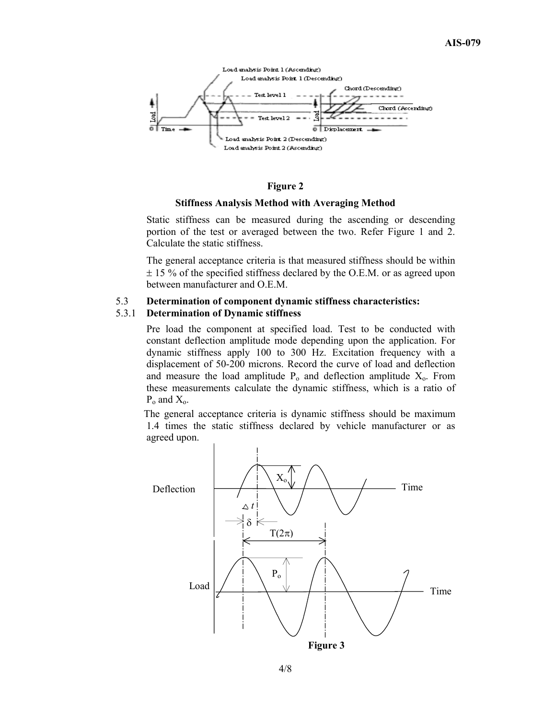

#### **Figure 2**

#### **Stiffness Analysis Method with Averaging Method**

Static stiffness can be measured during the ascending or descending portion of the test or averaged between the two. Refer Figure 1 and 2. Calculate the static stiffness.

The general acceptance criteria is that measured stiffness should be within  $\pm$  15 % of the specified stiffness declared by the O.E.M. or as agreed upon between manufacturer and O.E.M.

## 5.3 **Determination of component dynamic stiffness characteristics:**  5.3.1 **Determination of Dynamic stiffness**

Pre load the component at specified load. Test to be conducted with constant deflection amplitude mode depending upon the application. For dynamic stiffness apply 100 to 300 Hz. Excitation frequency with a displacement of 50-200 microns. Record the curve of load and deflection and measure the load amplitude  $P_0$  and deflection amplitude  $X_0$ . From these measurements calculate the dynamic stiffness, which is a ratio of  $P_0$  and  $X_0$ .

 The general acceptance criteria is dynamic stiffness should be maximum 1.4 times the static stiffness declared by vehicle manufacturer or as agreed upon.

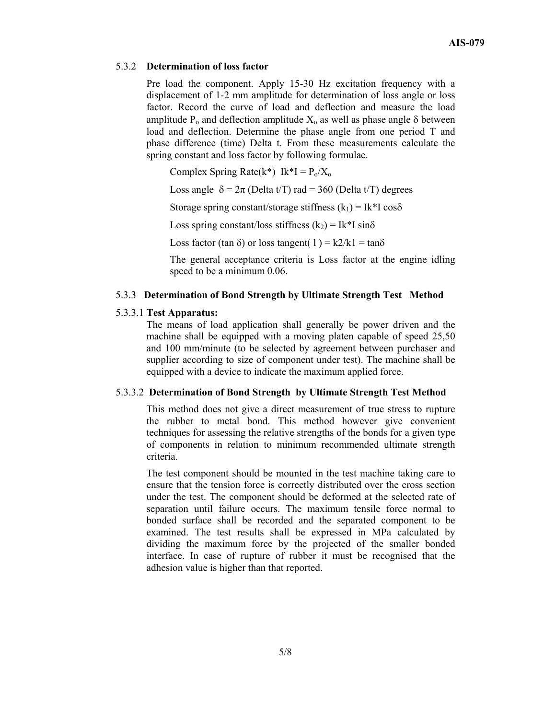#### 5.3.2 **Determination of loss factor**

Pre load the component. Apply 15-30 Hz excitation frequency with a displacement of 1-2 mm amplitude for determination of loss angle or loss factor. Record the curve of load and deflection and measure the load amplitude  $P_0$  and deflection amplitude  $X_0$  as well as phase angle  $\delta$  between load and deflection. Determine the phase angle from one period T and phase difference (time) Delta t. From these measurements calculate the spring constant and loss factor by following formulae.

Complex Spring Rate $(k^*)$  Ik\*I =  $P_0/X_0$ 

Loss angle  $\delta = 2\pi$  (Delta t/T) rad = 360 (Delta t/T) degrees

Storage spring constant/storage stiffness  $(k_1) = Ik^*I \cos\delta$ 

Loss spring constant/loss stiffness  $(k_2) = Ik*I \sin\delta$ 

Loss factor (tan  $\delta$ ) or loss tangent( 1) = k2/k1 = tan $\delta$ 

The general acceptance criteria is Loss factor at the engine idling speed to be a minimum 0.06.

#### 5.3.3 **Determination of Bond Strength by Ultimate Strength Test Method**

#### 5.3.3.1 **Test Apparatus:**

 The means of load application shall generally be power driven and the machine shall be equipped with a moving platen capable of speed 25,50 and 100 mm/minute (to be selected by agreement between purchaser and supplier according to size of component under test). The machine shall be equipped with a device to indicate the maximum applied force.

#### 5.3.3.2 **Determination of Bond Strength by Ultimate Strength Test Method**

 This method does not give a direct measurement of true stress to rupture the rubber to metal bond. This method however give convenient techniques for assessing the relative strengths of the bonds for a given type of components in relation to minimum recommended ultimate strength criteria.

The test component should be mounted in the test machine taking care to ensure that the tension force is correctly distributed over the cross section under the test. The component should be deformed at the selected rate of separation until failure occurs. The maximum tensile force normal to bonded surface shall be recorded and the separated component to be examined. The test results shall be expressed in MPa calculated by dividing the maximum force by the projected of the smaller bonded interface. In case of rupture of rubber it must be recognised that the adhesion value is higher than that reported.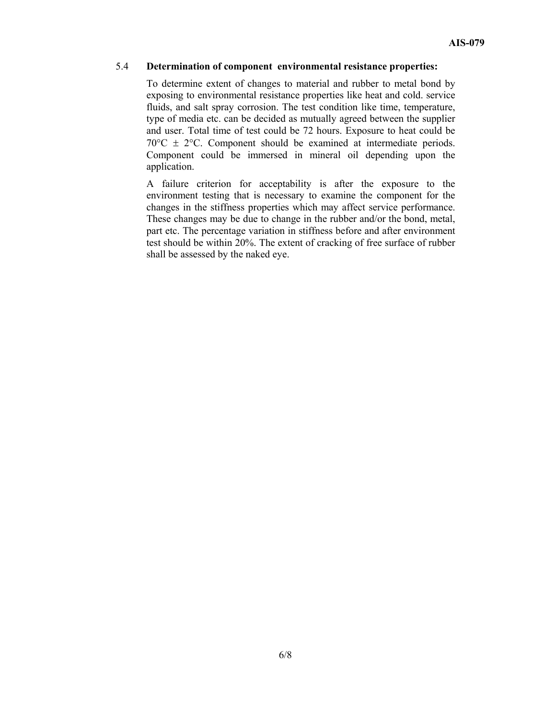## 5.4 **Determination of component environmental resistance properties:**

To determine extent of changes to material and rubber to metal bond by exposing to environmental resistance properties like heat and cold. service fluids, and salt spray corrosion. The test condition like time, temperature, type of media etc. can be decided as mutually agreed between the supplier and user. Total time of test could be 72 hours. Exposure to heat could be  $70^{\circ}$ C  $\pm$  2°C. Component should be examined at intermediate periods. Component could be immersed in mineral oil depending upon the application.

A failure criterion for acceptability is after the exposure to the environment testing that is necessary to examine the component for the changes in the stiffness properties which may affect service performance. These changes may be due to change in the rubber and/or the bond, metal, part etc. The percentage variation in stiffness before and after environment test should be within 20%. The extent of cracking of free surface of rubber shall be assessed by the naked eye.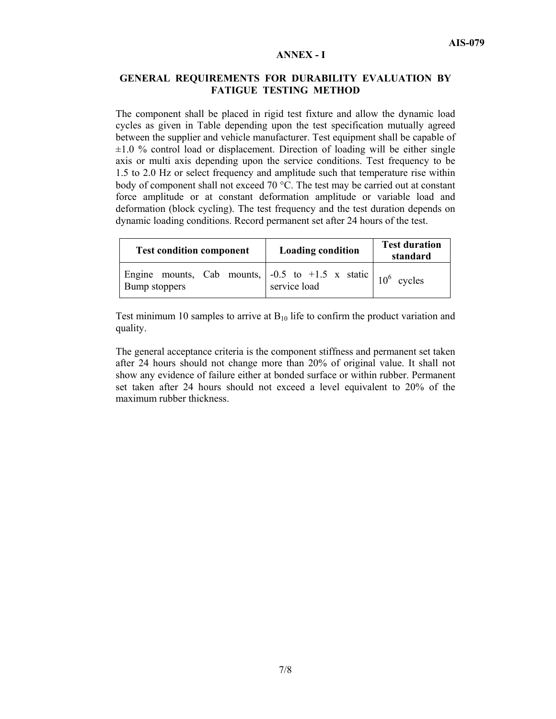#### **ANNEX - I**

## **GENERAL REQUIREMENTS FOR DURABILITY EVALUATION BY FATIGUE TESTING METHOD**

The component shall be placed in rigid test fixture and allow the dynamic load cycles as given in Table depending upon the test specification mutually agreed between the supplier and vehicle manufacturer. Test equipment shall be capable of  $\pm 1.0$  % control load or displacement. Direction of loading will be either single axis or multi axis depending upon the service conditions. Test frequency to be 1.5 to 2.0 Hz or select frequency and amplitude such that temperature rise within body of component shall not exceed 70  $^{\circ}$ C. The test may be carried out at constant force amplitude or at constant deformation amplitude or variable load and deformation (block cycling). The test frequency and the test duration depends on dynamic loading conditions. Record permanent set after 24 hours of the test.

| <b>Test condition component</b>                                                                          | <b>Loading condition</b> | <b>Test duration</b><br>standard |
|----------------------------------------------------------------------------------------------------------|--------------------------|----------------------------------|
| Engine mounts, Cab mounts, $\vert$ -0.5 to +1.5 x static $\vert$ 10 <sup>6</sup> cycles<br>Bump stoppers | service load             |                                  |

Test minimum 10 samples to arrive at  $B_{10}$  life to confirm the product variation and quality.

The general acceptance criteria is the component stiffness and permanent set taken after 24 hours should not change more than 20% of original value. It shall not show any evidence of failure either at bonded surface or within rubber. Permanent set taken after 24 hours should not exceed a level equivalent to 20% of the maximum rubber thickness.